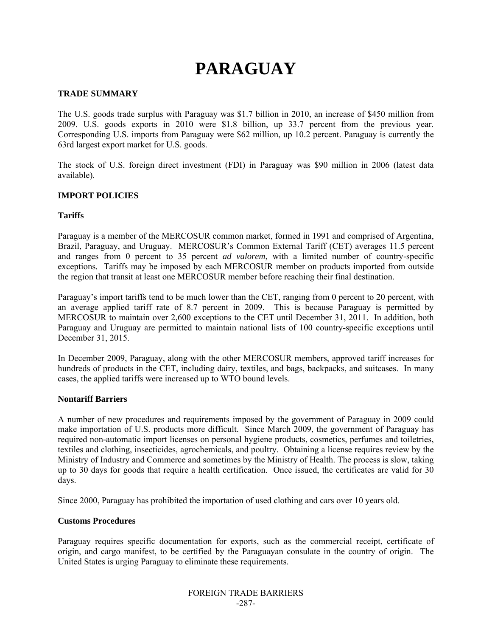# **PARAGUAY**

# **TRADE SUMMARY**

The U.S. goods trade surplus with Paraguay was \$1.7 billion in 2010, an increase of \$450 million from 2009. U.S. goods exports in 2010 were \$1.8 billion, up 33.7 percent from the previous year. Corresponding U.S. imports from Paraguay were \$62 million, up 10.2 percent. Paraguay is currently the 63rd largest export market for U.S. goods.

The stock of U.S. foreign direct investment (FDI) in Paraguay was \$90 million in 2006 (latest data available).

# **IMPORT POLICIES**

# **Tariffs**

Paraguay is a member of the MERCOSUR common market, formed in 1991 and comprised of Argentina, Brazil, Paraguay, and Uruguay. MERCOSUR's Common External Tariff (CET) averages 11.5 percent and ranges from 0 percent to 35 percent *ad valorem*, with a limited number of country-specific exceptions*.* Tariffs may be imposed by each MERCOSUR member on products imported from outside the region that transit at least one MERCOSUR member before reaching their final destination.

Paraguay's import tariffs tend to be much lower than the CET, ranging from 0 percent to 20 percent, with an average applied tariff rate of 8.7 percent in 2009. This is because Paraguay is permitted by MERCOSUR to maintain over 2,600 exceptions to the CET until December 31, 2011. In addition, both Paraguay and Uruguay are permitted to maintain national lists of 100 country-specific exceptions until December 31, 2015.

In December 2009, Paraguay, along with the other MERCOSUR members, approved tariff increases for hundreds of products in the CET, including dairy, textiles, and bags, backpacks, and suitcases. In many cases, the applied tariffs were increased up to WTO bound levels.

#### **Nontariff Barriers**

A number of new procedures and requirements imposed by the government of Paraguay in 2009 could make importation of U.S. products more difficult. Since March 2009, the government of Paraguay has required non-automatic import licenses on personal hygiene products, cosmetics, perfumes and toiletries, textiles and clothing, insecticides, agrochemicals, and poultry. Obtaining a license requires review by the Ministry of Industry and Commerce and sometimes by the Ministry of Health. The process is slow, taking up to 30 days for goods that require a health certification. Once issued, the certificates are valid for 30 days.

Since 2000, Paraguay has prohibited the importation of used clothing and cars over 10 years old.

#### **Customs Procedures**

Paraguay requires specific documentation for exports, such as the commercial receipt, certificate of origin, and cargo manifest, to be certified by the Paraguayan consulate in the country of origin. The United States is urging Paraguay to eliminate these requirements.

> FOREIGN TRADE BARRIERS -287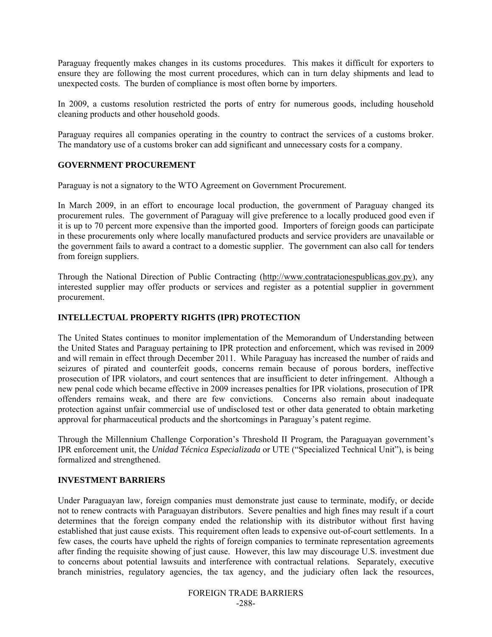Paraguay frequently makes changes in its customs procedures. This makes it difficult for exporters to ensure they are following the most current procedures, which can in turn delay shipments and lead to unexpected costs. The burden of compliance is most often borne by importers.

In 2009, a customs resolution restricted the ports of entry for numerous goods, including household cleaning products and other household goods.

Paraguay requires all companies operating in the country to contract the services of a customs broker. The mandatory use of a customs broker can add significant and unnecessary costs for a company.

# **GOVERNMENT PROCUREMENT**

Paraguay is not a signatory to the WTO Agreement on Government Procurement.

In March 2009, in an effort to encourage local production, the government of Paraguay changed its procurement rules. The government of Paraguay will give preference to a locally produced good even if it is up to 70 percent more expensive than the imported good. Importers of foreign goods can participate in these procurements only where locally manufactured products and service providers are unavailable or the government fails to award a contract to a domestic supplier. The government can also call for tenders from foreign suppliers.

Through the National Direction of Public Contracting (http://www.contratacionespublicas.gov.py), any interested supplier may offer products or services and register as a potential supplier in government procurement.

#### **INTELLECTUAL PROPERTY RIGHTS (IPR) PROTECTION**

The United States continues to monitor implementation of the Memorandum of Understanding between the United States and Paraguay pertaining to IPR protection and enforcement, which was revised in 2009 and will remain in effect through December 2011. While Paraguay has increased the number of raids and seizures of pirated and counterfeit goods, concerns remain because of porous borders, ineffective prosecution of IPR violators, and court sentences that are insufficient to deter infringement. Although a new penal code which became effective in 2009 increases penalties for IPR violations, prosecution of IPR offenders remains weak, and there are few convictions. Concerns also remain about inadequate protection against unfair commercial use of undisclosed test or other data generated to obtain marketing approval for pharmaceutical products and the shortcomings in Paraguay's patent regime.

Through the Millennium Challenge Corporation's Threshold II Program, the Paraguayan government's IPR enforcement unit, the *Unidad Técnica Especializada* or UTE ("Specialized Technical Unit"), is being formalized and strengthened.

# **INVESTMENT BARRIERS**

Under Paraguayan law, foreign companies must demonstrate just cause to terminate, modify, or decide not to renew contracts with Paraguayan distributors. Severe penalties and high fines may result if a court determines that the foreign company ended the relationship with its distributor without first having established that just cause exists. This requirement often leads to expensive out-of-court settlements. In a few cases, the courts have upheld the rights of foreign companies to terminate representation agreements after finding the requisite showing of just cause. However, this law may discourage U.S. investment due to concerns about potential lawsuits and interference with contractual relations. Separately, executive branch ministries, regulatory agencies, the tax agency, and the judiciary often lack the resources,

> FOREIGN TRADE BARRIERS -288